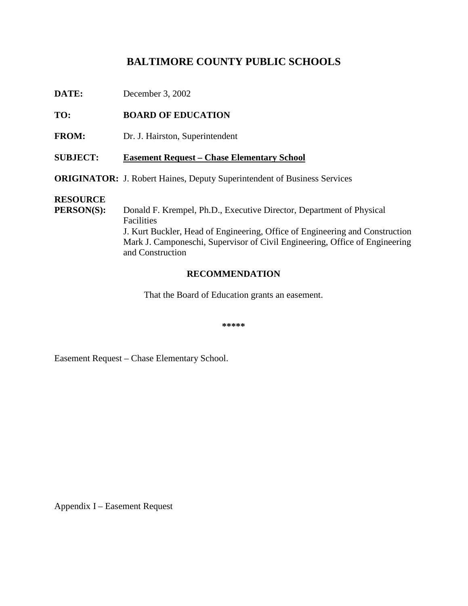# BALTIMORE COUNTYPUBLICS CHOOLS

| DATE: | December 3, 2002 |
|-------|------------------|
|       |                  |

## TO: **BOARDOFEDUCATION**

FROM: Dr.J. Hairston, Superintendent

#### **SUBJECT: Easement Request – Chase Elementary School**

**ORIGINATOR:** J.RobertHaines, Deputy Superintendent of Business Services

## **RESOURCE**

**PERSON(S):** Donald F. Krempel, Ph.D., Executive Director, Department of Physical Facilities J. Kurt Buckler, Head of Engineering, Office of Engineering and Construction Mark J. Camponeschi, Supervisor of Civil Engineering, Office of Engineering and Construction

### **RECOMMENDATION**

That the Board of Education grants an easement.

**\*\*\*\*\***

Easement Request – Chase Elementary School.

AppendixI – Easement Request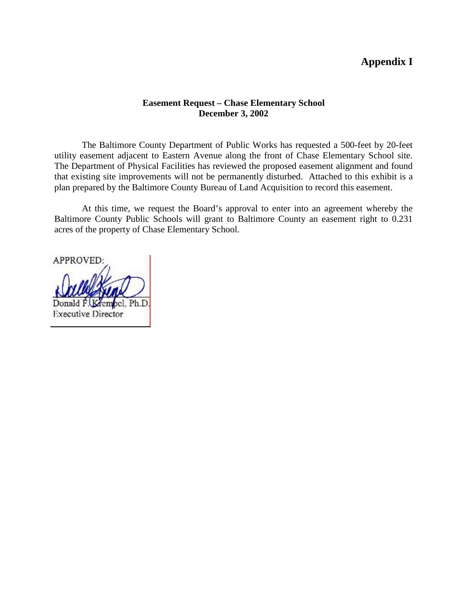## **AppendixI**

#### **Easement Request – Chase Elementary School December 3, 2002**

The Baltimore County Department of Public Works has requested a 500 -feet by 20 -feet utility easement adjacent to Eastern Avenue along the front of Chase Elementary School site. The Department of Physical Facilities has reviewed the proposed easement al ignment and found that existing site improvements will not be permanently disturbed. Attached to this exhibit is a plan prepared by the Baltimore County Bureau of Land Acquisition to record this easement.

At this time, we request the Board's approval to enter into an agreement whereby the Baltimore County Public Schools will grant to Baltimore County an easement right to 0.231 acres of the property of Chase Elementary School.

APPROVED: Donald F.Krempel, Ph.D. **Executive Director**